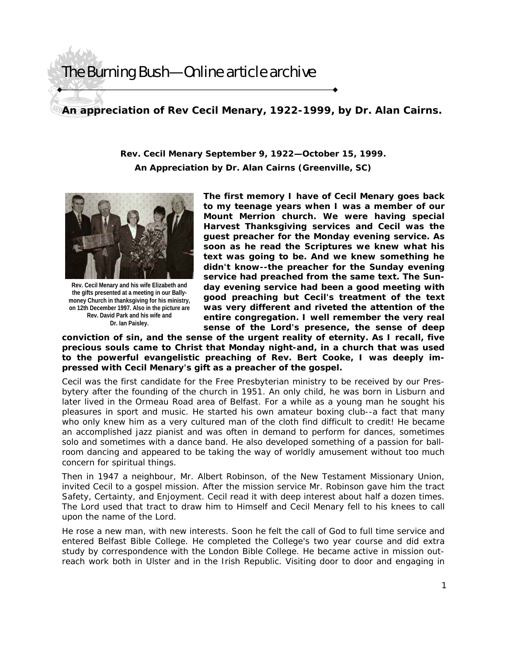The Burning Bush—Online article archive

## **An appreciation of Rev Cecil Menary, 1922-1999, by Dr. Alan Cairns.**

**Rev. Cecil Menary September 9, 1922—October 15, 1999. An Appreciation by Dr. Alan Cairns (Greenville, SC)** 



**Rev. Cecil Menary and his wife Elizabeth and the gifts presented at a meeting in our Ballymoney Church in thanksgiving for his ministry, on 12th December 1997. Also in the picture are Rev. David Park and his wife and Dr. Ian Paisley.** 

**The first memory I have of Cecil Menary goes back to my teenage years when I was a member of our Mount Merrion church. We were having special Harvest Thanksgiving services and Cecil was the guest preacher for the Monday evening service. As soon as he read the Scriptures we knew what his text was going to be. And we knew something he didn't know--the preacher for the Sunday evening service had preached from the same text. The Sunday evening service had been a good meeting with good preaching but Cecil's treatment of the text was very different and riveted the attention of the entire congregation. I well remember the very real sense of the Lord's presence, the sense of deep** 

**conviction of sin, and the sense of the urgent reality of eternity. As I recall, five precious souls came to Christ that Monday night-and, in a church that was used to the powerful evangelistic preaching of Rev. Bert Cooke, I was deeply impressed with Cecil Menary's gift as a preacher of the gospel.** 

Cecil was the first candidate for the Free Presbyterian ministry to be received by our Presbytery after the founding of the church in 1951. An only child, he was born in Lisburn and later lived in the Ormeau Road area of Belfast. For a while as a young man he sought his pleasures in sport and music. He started his own amateur boxing club--a fact that many who only knew him as a very cultured man of the cloth find difficult to credit! He became an accomplished jazz pianist and was often in demand to perform for dances, sometimes solo and sometimes with a dance band. He also developed something of a passion for ballroom dancing and appeared to be taking the way of worldly amusement without too much concern for spiritual things.

Then in 1947 a neighbour, Mr. Albert Robinson, of the New Testament Missionary Union, invited Cecil to a gospel mission. After the mission service Mr. Robinson gave him the tract Safety, Certainty, and Enjoyment. Cecil read it with deep interest about half a dozen times. The Lord used that tract to draw him to Himself and Cecil Menary fell to his knees to call upon the name of the Lord.

He rose a new man, with new interests. Soon he felt the call of God to full time service and entered Belfast Bible College. He completed the College's two year course and did extra study by correspondence with the London Bible College. He became active in mission outreach work both in Ulster and in the Irish Republic. Visiting door to door and engaging in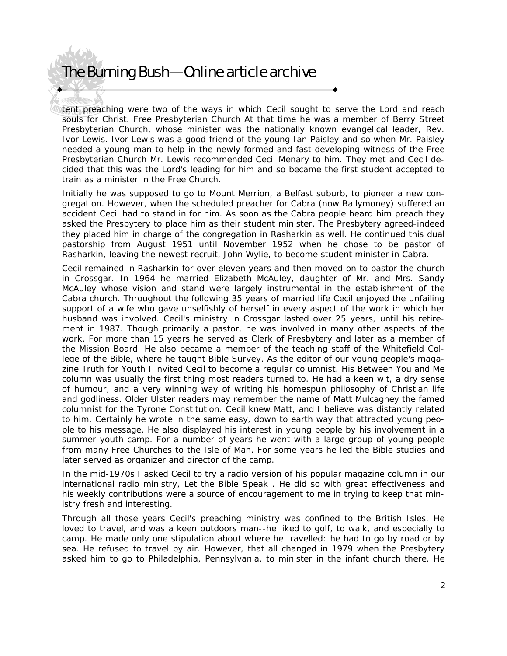## The Burning Bush—Online article archive

tent preaching were two of the ways in which Cecil sought to serve the Lord and reach souls for Christ. Free Presbyterian Church At that time he was a member of Berry Street Presbyterian Church, whose minister was the nationally known evangelical leader, Rev. Ivor Lewis. Ivor Lewis was a good friend of the young Ian Paisley and so when Mr. Paisley needed a young man to help in the newly formed and fast developing witness of the Free Presbyterian Church Mr. Lewis recommended Cecil Menary to him. They met and Cecil decided that this was the Lord's leading for him and so became the first student accepted to train as a minister in the Free Church.

Initially he was supposed to go to Mount Merrion, a Belfast suburb, to pioneer a new congregation. However, when the scheduled preacher for Cabra (now Ballymoney) suffered an accident Cecil had to stand in for him. As soon as the Cabra people heard him preach they asked the Presbytery to place him as their student minister. The Presbytery agreed-indeed they placed him in charge of the congregation in Rasharkin as well. He continued this dual pastorship from August 1951 until November 1952 when he chose to be pastor of Rasharkin, leaving the newest recruit, John Wylie, to become student minister in Cabra.

Cecil remained in Rasharkin for over eleven years and then moved on to pastor the church in Crossgar. In 1964 he married Elizabeth McAuley, daughter of Mr. and Mrs. Sandy McAuley whose vision and stand were largely instrumental in the establishment of the Cabra church. Throughout the following 35 years of married life Cecil enjoyed the unfailing support of a wife who gave unselfishly of herself in every aspect of the work in which her husband was involved. Cecil's ministry in Crossgar lasted over 25 years, until his retirement in 1987. Though primarily a pastor, he was involved in many other aspects of the work. For more than 15 years he served as Clerk of Presbytery and later as a member of the Mission Board. He also became a member of the teaching staff of the Whitefield College of the Bible, where he taught Bible Survey. As the editor of our young people's magazine Truth for Youth I invited Cecil to become a regular columnist. His Between You and Me column was usually the first thing most readers turned to. He had a keen wit, a dry sense of humour, and a very winning way of writing his homespun philosophy of Christian life and godliness. Older Ulster readers may remember the name of Matt Mulcaghey the famed columnist for the Tyrone Constitution. Cecil knew Matt, and I believe was distantly related to him. Certainly he wrote in the same easy, down to earth way that attracted young people to his message. He also displayed his interest in young people by his involvement in a summer youth camp. For a number of years he went with a large group of young people from many Free Churches to the Isle of Man. For some years he led the Bible studies and later served as organizer and director of the camp.

In the mid-1970s I asked Cecil to try a radio version of his popular magazine column in our international radio ministry, Let the Bible Speak . He did so with great effectiveness and his weekly contributions were a source of encouragement to me in trying to keep that ministry fresh and interesting.

Through all those years Cecil's preaching ministry was confined to the British Isles. He loved to travel, and was a keen outdoors man--he liked to golf, to walk, and especially to camp. He made only one stipulation about where he travelled: he had to go by road or by sea. He refused to travel by air. However, that all changed in 1979 when the Presbytery asked him to go to Philadelphia, Pennsylvania, to minister in the infant church there. He